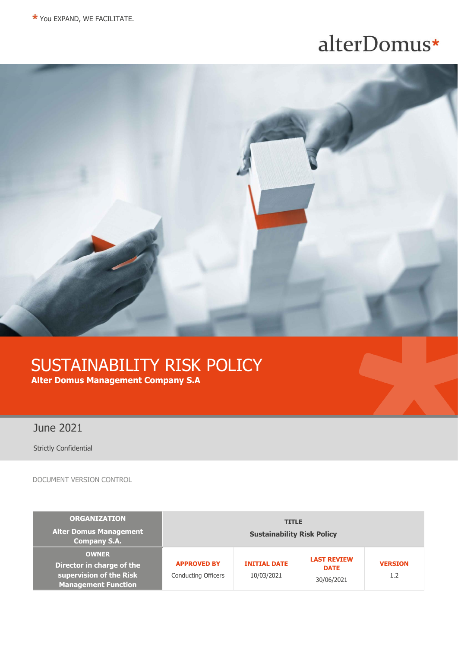# alterDomus\*



# SUSTAINABILITY RISK POLICY **Alter Domus Management Company S.A**

June 2021

Strictly Confidential

DOCUMENT VERSION CONTROL

| <b>ORGANIZATION</b><br><b>Alter Domus Management</b><br><b>Company S.A.</b>                        | <b>TITLE</b><br><b>Sustainability Risk Policy</b> |                                   |                                                 |                       |
|----------------------------------------------------------------------------------------------------|---------------------------------------------------|-----------------------------------|-------------------------------------------------|-----------------------|
| <b>OWNER</b><br>Director in charge of the<br>supervision of the Risk<br><b>Management Function</b> | <b>APPROVED BY</b><br><b>Conducting Officers</b>  | <b>INITIAL DATE</b><br>10/03/2021 | <b>LAST REVIEW</b><br><b>DATE</b><br>30/06/2021 | <b>VERSION</b><br>1.2 |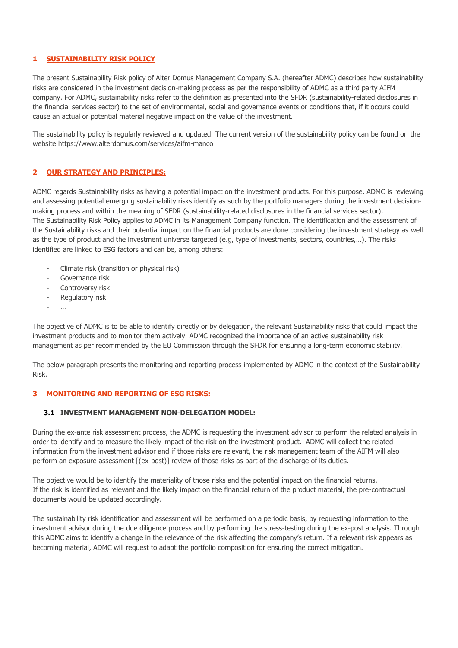### **1 SUSTAINABILITY RISK POLICY**

The present Sustainability Risk policy of Alter Domus Management Company S.A. (hereafter ADMC) describes how sustainability risks are considered in the investment decision-making process as per the responsibility of ADMC as a third party AIFM company. For ADMC, sustainability risks refer to the definition as presented into the SFDR (sustainability-related disclosures in the financial services sector) to the set of environmental, social and governance events or conditions that, if it occurs could cause an actual or potential material negative impact on the value of the investment.

The sustainability policy is regularly reviewed and updated. The current version of the sustainability policy can be found on the website<https://www.alterdomus.com/services/aifm-manco>

#### **2 OUR STRATEGY AND PRINCIPLES:**

ADMC regards Sustainability risks as having a potential impact on the investment products. For this purpose, ADMC is reviewing and assessing potential emerging sustainability risks identify as such by the portfolio managers during the investment decisionmaking process and within the meaning of SFDR (sustainability-related disclosures in the financial services sector). The Sustainability Risk Policy applies to ADMC in its Management Company function. The identification and the assessment of the Sustainability risks and their potential impact on the financial products are done considering the investment strategy as well as the type of product and the investment universe targeted (e.g, type of investments, sectors, countries,…). The risks identified are linked to ESG factors and can be, among others:

- Climate risk (transition or physical risk)
- Governance risk
- Controversy risk
- Regulatory risk
- …

The objective of ADMC is to be able to identify directly or by delegation, the relevant Sustainability risks that could impact the investment products and to monitor them actively. ADMC recognized the importance of an active sustainability risk management as per recommended by the EU Commission through the SFDR for ensuring a long-term economic stability.

The below paragraph presents the monitoring and reporting process implemented by ADMC in the context of the Sustainability Risk.

#### **3 MONITORING AND REPORTING OF ESG RISKS:**

#### **3.1 INVESTMENT MANAGEMENT NON-DELEGATION MODEL:**

During the ex-ante risk assessment process, the ADMC is requesting the investment advisor to perform the related analysis in order to identify and to measure the likely impact of the risk on the investment product. ADMC will collect the related information from the investment advisor and if those risks are relevant, the risk management team of the AIFM will also perform an exposure assessment [(ex-post)] review of those risks as part of the discharge of its duties.

The objective would be to identify the materiality of those risks and the potential impact on the financial returns. If the risk is identified as relevant and the likely impact on the financial return of the product material, the pre-contractual documents would be updated accordingly.

The sustainability risk identification and assessment will be performed on a periodic basis, by requesting information to the investment advisor during the due diligence process and by performing the stress-testing during the ex-post analysis. Through this ADMC aims to identify a change in the relevance of the risk affecting the company's return. If a relevant risk appears as becoming material, ADMC will request to adapt the portfolio composition for ensuring the correct mitigation.